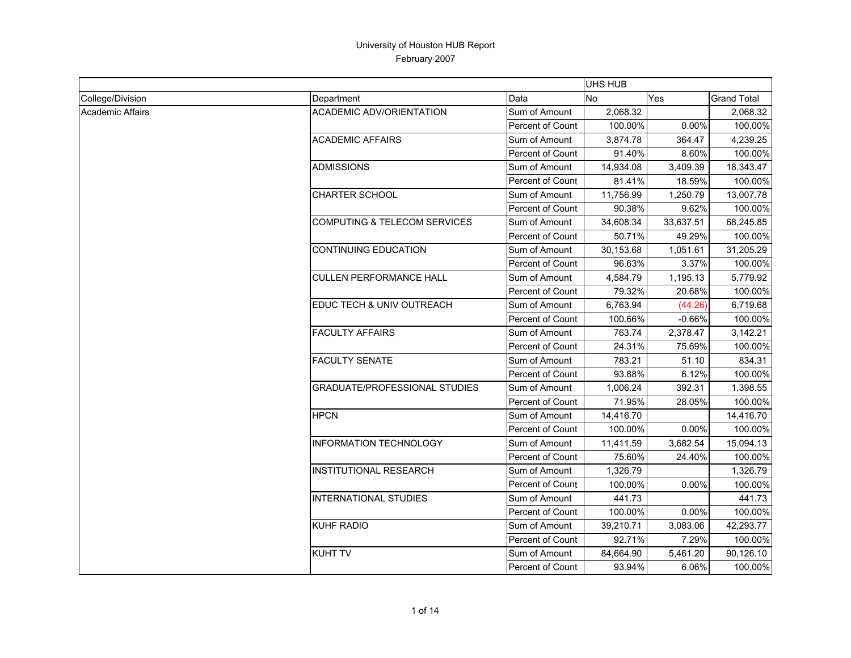|                         |                                      |                         | UHS HUB   |           |                    |
|-------------------------|--------------------------------------|-------------------------|-----------|-----------|--------------------|
| College/Division        | Department                           | Data                    | No        | Yes       | <b>Grand Total</b> |
| <b>Academic Affairs</b> | <b>ACADEMIC ADV/ORIENTATION</b>      | Sum of Amount           | 2,068.32  |           | 2,068.32           |
|                         |                                      | <b>Percent of Count</b> | 100.00%   | 0.00%     | 100.00%            |
|                         | <b>ACADEMIC AFFAIRS</b>              | Sum of Amount           | 3,874.78  | 364.47    | 4,239.25           |
|                         |                                      | Percent of Count        | 91.40%    | 8.60%     | 100.00%            |
|                         | <b>ADMISSIONS</b>                    | Sum of Amount           | 14,934.08 | 3,409.39  | 18,343.47          |
|                         |                                      | Percent of Count        | 81.41%    | 18.59%    | 100.00%            |
|                         | <b>CHARTER SCHOOL</b>                | Sum of Amount           | 11,756.99 | 1,250.79  | 13,007.78          |
|                         |                                      | <b>Percent of Count</b> | 90.38%    | 9.62%     | 100.00%            |
|                         | COMPUTING & TELECOM SERVICES         | Sum of Amount           | 34,608.34 | 33,637.51 | 68,245.85          |
|                         |                                      | Percent of Count        | 50.71%    | 49.29%    | 100.00%            |
|                         | <b>CONTINUING EDUCATION</b>          | Sum of Amount           | 30,153.68 | 1,051.61  | 31,205.29          |
|                         |                                      | Percent of Count        | 96.63%    | 3.37%     | 100.00%            |
|                         | <b>CULLEN PERFORMANCE HALL</b>       | Sum of Amount           | 4,584.79  | 1,195.13  | 5,779.92           |
|                         |                                      | Percent of Count        | 79.32%    | 20.68%    | 100.00%            |
|                         | EDUC TECH & UNIV OUTREACH            | Sum of Amount           | 6,763.94  | (44.26)   | 6,719.68           |
|                         |                                      | Percent of Count        | 100.66%   | $-0.66\%$ | 100.00%            |
|                         | <b>FACULTY AFFAIRS</b>               | Sum of Amount           | 763.74    | 2,378.47  | 3,142.21           |
|                         |                                      | Percent of Count        | 24.31%    | 75.69%    | 100.00%            |
|                         | <b>FACULTY SENATE</b>                | Sum of Amount           | 783.21    | 51.10     | 834.31             |
|                         |                                      | Percent of Count        | 93.88%    | 6.12%     | 100.00%            |
|                         | <b>GRADUATE/PROFESSIONAL STUDIES</b> | Sum of Amount           | 1,006.24  | 392.31    | 1,398.55           |
|                         |                                      | <b>Percent of Count</b> | 71.95%    | 28.05%    | 100.00%            |
|                         | <b>HPCN</b>                          | Sum of Amount           | 14,416.70 |           | 14,416.70          |
|                         |                                      | Percent of Count        | 100.00%   | $0.00\%$  | 100.00%            |
|                         | <b>INFORMATION TECHNOLOGY</b>        | Sum of Amount           | 11,411.59 | 3,682.54  | 15,094.13          |
|                         |                                      | Percent of Count        | 75.60%    | 24.40%    | 100.00%            |
|                         | <b>INSTITUTIONAL RESEARCH</b>        | Sum of Amount           | 1,326.79  |           | 1,326.79           |
|                         |                                      | Percent of Count        | 100.00%   | 0.00%     | 100.00%            |
|                         | <b>INTERNATIONAL STUDIES</b>         | Sum of Amount           | 441.73    |           | 441.73             |
|                         |                                      | Percent of Count        | 100.00%   | $0.00\%$  | 100.00%            |
|                         | <b>KUHF RADIO</b>                    | Sum of Amount           | 39,210.71 | 3,083.06  | 42,293.77          |
|                         |                                      | Percent of Count        | 92.71%    | 7.29%     | 100.00%            |
|                         | <b>KUHT TV</b>                       | Sum of Amount           | 84,664.90 | 5,461.20  | 90,126.10          |
|                         |                                      | Percent of Count        | 93.94%    | 6.06%     | 100.00%            |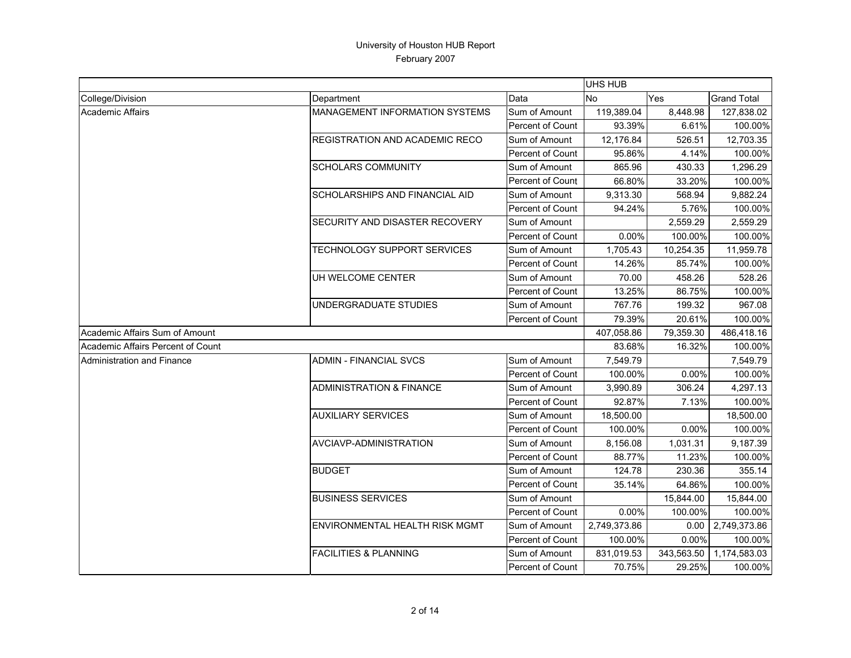|                                   |                                       |                  | UHS HUB      |            |                    |
|-----------------------------------|---------------------------------------|------------------|--------------|------------|--------------------|
| College/Division                  | Department                            | Data             | No           | Yes        | <b>Grand Total</b> |
| <b>Academic Affairs</b>           | <b>MANAGEMENT INFORMATION SYSTEMS</b> | Sum of Amount    | 119,389.04   | 8,448.98   | 127,838.02         |
|                                   |                                       | Percent of Count | 93.39%       | 6.61%      | 100.00%            |
|                                   | REGISTRATION AND ACADEMIC RECO        | Sum of Amount    | 12,176.84    | 526.51     | 12,703.35          |
|                                   |                                       | Percent of Count | 95.86%       | 4.14%      | 100.00%            |
|                                   | <b>SCHOLARS COMMUNITY</b>             | Sum of Amount    | 865.96       | 430.33     | 1,296.29           |
|                                   |                                       | Percent of Count | 66.80%       | 33.20%     | 100.00%            |
|                                   | SCHOLARSHIPS AND FINANCIAL AID        | Sum of Amount    | 9,313.30     | 568.94     | 9,882.24           |
|                                   |                                       | Percent of Count | 94.24%       | 5.76%      | 100.00%            |
|                                   | SECURITY AND DISASTER RECOVERY        | Sum of Amount    |              | 2,559.29   | 2,559.29           |
|                                   |                                       | Percent of Count | 0.00%        | 100.00%    | 100.00%            |
|                                   | TECHNOLOGY SUPPORT SERVICES           | Sum of Amount    | 1,705.43     | 10,254.35  | 11,959.78          |
|                                   |                                       | Percent of Count | 14.26%       | 85.74%     | 100.00%            |
|                                   | UH WELCOME CENTER                     | Sum of Amount    | 70.00        | 458.26     | 528.26             |
|                                   |                                       | Percent of Count | 13.25%       | 86.75%     | 100.00%            |
|                                   | UNDERGRADUATE STUDIES                 | Sum of Amount    | 767.76       | 199.32     | 967.08             |
|                                   |                                       | Percent of Count | 79.39%       | 20.61%     | 100.00%            |
| Academic Affairs Sum of Amount    |                                       |                  | 407,058.86   | 79,359.30  | 486,418.16         |
| Academic Affairs Percent of Count |                                       |                  | 83.68%       | 16.32%     | 100.00%            |
| Administration and Finance        | <b>ADMIN - FINANCIAL SVCS</b>         | Sum of Amount    | 7,549.79     |            | 7,549.79           |
|                                   |                                       | Percent of Count | 100.00%      | 0.00%      | 100.00%            |
|                                   | <b>ADMINISTRATION &amp; FINANCE</b>   | Sum of Amount    | 3,990.89     | 306.24     | 4,297.13           |
|                                   |                                       | Percent of Count | 92.87%       | 7.13%      | 100.00%            |
|                                   | <b>AUXILIARY SERVICES</b>             | Sum of Amount    | 18,500.00    |            | 18,500.00          |
|                                   |                                       | Percent of Count | 100.00%      | 0.00%      | 100.00%            |
|                                   | AVCIAVP-ADMINISTRATION                | Sum of Amount    | 8,156.08     | 1,031.31   | 9,187.39           |
|                                   |                                       | Percent of Count | 88.77%       | 11.23%     | 100.00%            |
|                                   | <b>BUDGET</b>                         | Sum of Amount    | 124.78       | 230.36     | 355.14             |
|                                   |                                       | Percent of Count | 35.14%       | 64.86%     | 100.00%            |
|                                   | <b>BUSINESS SERVICES</b>              | Sum of Amount    |              | 15,844.00  | 15,844.00          |
|                                   |                                       | Percent of Count | 0.00%        | 100.00%    | 100.00%            |
|                                   | <b>ENVIRONMENTAL HEALTH RISK MGMT</b> | Sum of Amount    | 2,749,373.86 | 0.00       | 2,749,373.86       |
|                                   |                                       | Percent of Count | 100.00%      | 0.00%      | 100.00%            |
|                                   | <b>FACILITIES &amp; PLANNING</b>      | Sum of Amount    | 831,019.53   | 343,563.50 | 1,174,583.03       |
|                                   |                                       | Percent of Count | 70.75%       | 29.25%     | 100.00%            |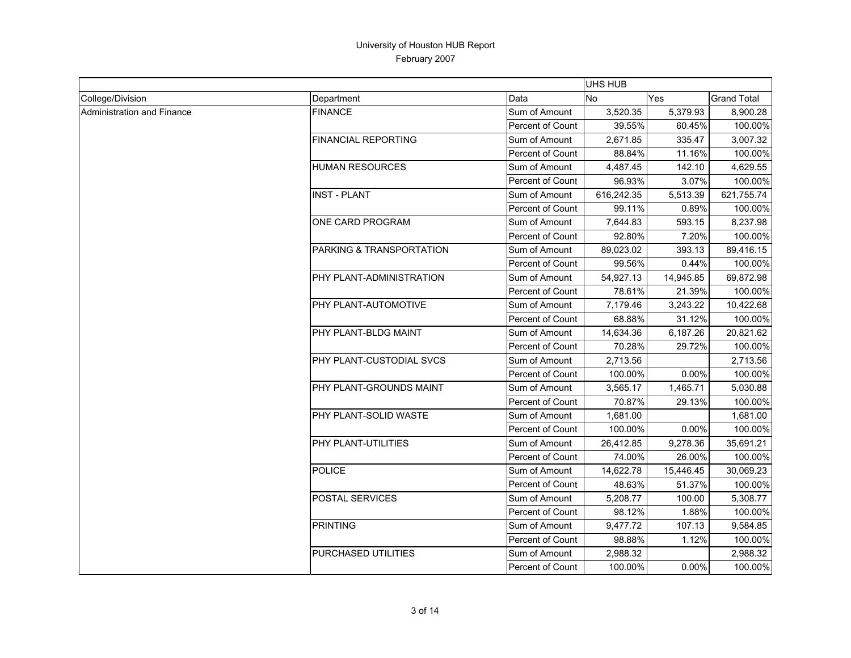|                            |                            |                         | <b>UHS HUB</b> |           |                    |
|----------------------------|----------------------------|-------------------------|----------------|-----------|--------------------|
| College/Division           | Department                 | Data                    | Yes<br>No      |           | <b>Grand Total</b> |
| Administration and Finance | <b>FINANCE</b>             | Sum of Amount           | 3,520.35       | 5,379.93  | 8,900.28           |
|                            |                            | Percent of Count        | 39.55%         | 60.45%    | 100.00%            |
|                            | <b>FINANCIAL REPORTING</b> | Sum of Amount           | 2,671.85       | 335.47    | 3,007.32           |
|                            |                            | Percent of Count        | 88.84%         | 11.16%    | 100.00%            |
|                            | <b>HUMAN RESOURCES</b>     | Sum of Amount           | 4,487.45       | 142.10    | 4,629.55           |
|                            |                            | Percent of Count        | 96.93%         | 3.07%     | 100.00%            |
|                            | <b>INST - PLANT</b>        | Sum of Amount           | 616,242.35     | 5,513.39  | 621,755.74         |
|                            |                            | Percent of Count        | 99.11%         | 0.89%     | 100.00%            |
|                            | ONE CARD PROGRAM           | Sum of Amount           | 7,644.83       | 593.15    | 8,237.98           |
|                            |                            | <b>Percent of Count</b> | 92.80%         | 7.20%     | 100.00%            |
|                            | PARKING & TRANSPORTATION   | Sum of Amount           | 89,023.02      | 393.13    | 89,416.15          |
|                            |                            | Percent of Count        | 99.56%         | 0.44%     | 100.00%            |
|                            | PHY PLANT-ADMINISTRATION   | Sum of Amount           | 54,927.13      | 14,945.85 | 69,872.98          |
|                            |                            | Percent of Count        | 78.61%         | 21.39%    | 100.00%            |
|                            | PHY PLANT-AUTOMOTIVE       | Sum of Amount           | 7,179.46       | 3,243.22  | 10,422.68          |
|                            |                            | Percent of Count        | 68.88%         | 31.12%    | 100.00%            |
|                            | PHY PLANT-BLDG MAINT       | Sum of Amount           | 14,634.36      | 6,187.26  | 20,821.62          |
|                            |                            | Percent of Count        | 70.28%         | 29.72%    | 100.00%            |
|                            | PHY PLANT-CUSTODIAL SVCS   | Sum of Amount           | 2,713.56       |           | 2,713.56           |
|                            |                            | Percent of Count        | 100.00%        | 0.00%     | 100.00%            |
|                            | PHY PLANT-GROUNDS MAINT    | Sum of Amount           | 3,565.17       | 1,465.71  | 5,030.88           |
|                            |                            | Percent of Count        | 70.87%         | 29.13%    | 100.00%            |
|                            | PHY PLANT-SOLID WASTE      | Sum of Amount           | 1,681.00       |           | 1,681.00           |
|                            |                            | Percent of Count        | 100.00%        | 0.00%     | 100.00%            |
|                            | PHY PLANT-UTILITIES        | Sum of Amount           | 26,412.85      | 9,278.36  | 35,691.21          |
|                            |                            | Percent of Count        | 74.00%         | 26.00%    | 100.00%            |
|                            | <b>POLICE</b>              | Sum of Amount           | 14,622.78      | 15,446.45 | 30,069.23          |
|                            |                            | Percent of Count        | 48.63%         | 51.37%    | 100.00%            |
|                            | POSTAL SERVICES            | Sum of Amount           | 5,208.77       | 100.00    | 5,308.77           |
|                            |                            | <b>Percent of Count</b> | 98.12%         | 1.88%     | 100.00%            |
|                            | <b>PRINTING</b>            | Sum of Amount           | 9,477.72       | 107.13    | 9,584.85           |
|                            |                            | Percent of Count        | 98.88%         | 1.12%     | 100.00%            |
|                            | PURCHASED UTILITIES        | Sum of Amount           | 2,988.32       |           | 2,988.32           |
|                            |                            | Percent of Count        | 100.00%        | 0.00%     | 100.00%            |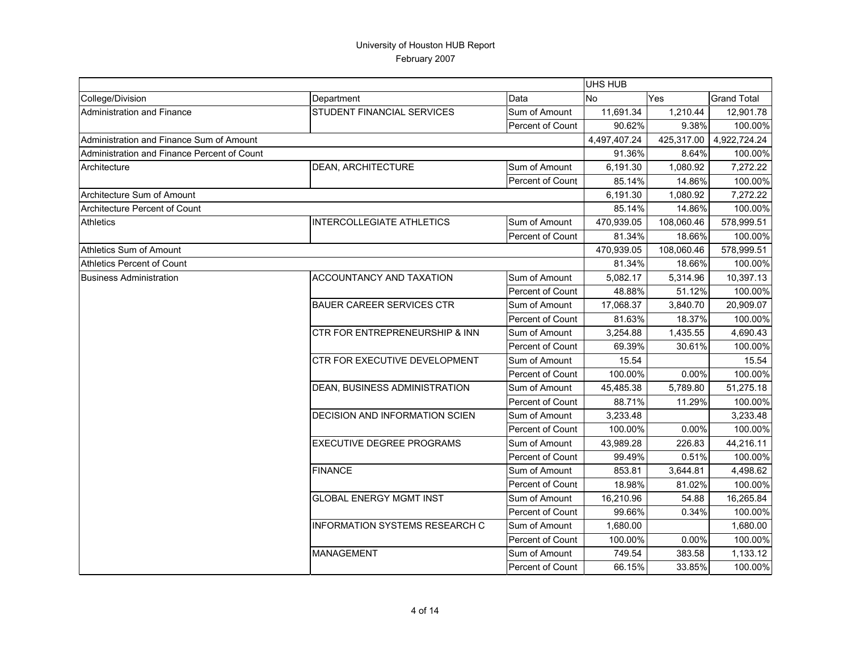|                                             |                                           |                  | UHS HUB      |            |                    |
|---------------------------------------------|-------------------------------------------|------------------|--------------|------------|--------------------|
| College/Division                            | Department                                | Data             | No           | Yes        | <b>Grand Total</b> |
| Administration and Finance                  | STUDENT FINANCIAL SERVICES                | Sum of Amount    | 11,691.34    | 1,210.44   | 12,901.78          |
|                                             |                                           | Percent of Count | 90.62%       | 9.38%      | 100.00%            |
| Administration and Finance Sum of Amount    |                                           |                  | 4,497,407.24 | 425.317.00 | 4,922,724.24       |
| Administration and Finance Percent of Count |                                           |                  | 91.36%       | 8.64%      | 100.00%            |
| Architecture                                | <b>DEAN, ARCHITECTURE</b>                 | Sum of Amount    | 6,191.30     | 1,080.92   | 7,272.22           |
|                                             |                                           | Percent of Count | 85.14%       | 14.86%     | 100.00%            |
| Architecture Sum of Amount                  |                                           |                  | 6,191.30     | 1,080.92   | 7,272.22           |
| Architecture Percent of Count               |                                           |                  | 85.14%       | 14.86%     | 100.00%            |
| <b>Athletics</b>                            | <b>INTERCOLLEGIATE ATHLETICS</b>          | Sum of Amount    | 470,939.05   | 108,060.46 | 578,999.51         |
|                                             |                                           | Percent of Count | 81.34%       | 18.66%     | 100.00%            |
| Athletics Sum of Amount                     |                                           |                  | 470,939.05   | 108,060.46 | 578,999.51         |
| <b>Athletics Percent of Count</b>           |                                           |                  | 81.34%       | 18.66%     | 100.00%            |
| <b>Business Administration</b>              | ACCOUNTANCY AND TAXATION                  | Sum of Amount    | 5,082.17     | 5,314.96   | 10,397.13          |
|                                             |                                           | Percent of Count | 48.88%       | 51.12%     | 100.00%            |
|                                             | <b>BAUER CAREER SERVICES CTR</b>          | Sum of Amount    | 17,068.37    | 3,840.70   | 20,909.07          |
|                                             |                                           | Percent of Count | 81.63%       | 18.37%     | 100.00%            |
|                                             | <b>CTR FOR ENTREPRENEURSHIP &amp; INN</b> | Sum of Amount    | 3,254.88     | 1,435.55   | 4,690.43           |
|                                             |                                           | Percent of Count | 69.39%       | 30.61%     | 100.00%            |
|                                             | CTR FOR EXECUTIVE DEVELOPMENT             | Sum of Amount    | 15.54        |            | 15.54              |
|                                             |                                           | Percent of Count | 100.00%      | 0.00%      | 100.00%            |
|                                             | DEAN, BUSINESS ADMINISTRATION             | Sum of Amount    | 45,485.38    | 5,789.80   | 51,275.18          |
|                                             |                                           | Percent of Count | 88.71%       | 11.29%     | 100.00%            |
|                                             | DECISION AND INFORMATION SCIEN            | Sum of Amount    | 3,233.48     |            | 3,233.48           |
|                                             |                                           | Percent of Count | 100.00%      | 0.00%      | 100.00%            |
|                                             | <b>EXECUTIVE DEGREE PROGRAMS</b>          | Sum of Amount    | 43,989.28    | 226.83     | 44,216.11          |
|                                             |                                           | Percent of Count | 99.49%       | 0.51%      | 100.00%            |
|                                             | <b>FINANCE</b>                            | Sum of Amount    | 853.81       | 3,644.81   | 4,498.62           |
|                                             |                                           | Percent of Count | 18.98%       | 81.02%     | 100.00%            |
|                                             | <b>GLOBAL ENERGY MGMT INST</b>            | Sum of Amount    | 16,210.96    | 54.88      | 16,265.84          |
|                                             |                                           | Percent of Count | 99.66%       | 0.34%      | 100.00%            |
|                                             | <b>INFORMATION SYSTEMS RESEARCH C</b>     | Sum of Amount    | 1,680.00     |            | 1,680.00           |
|                                             |                                           | Percent of Count | 100.00%      | 0.00%      | 100.00%            |
|                                             | <b>MANAGEMENT</b>                         | Sum of Amount    | 749.54       | 383.58     | 1,133.12           |
|                                             |                                           | Percent of Count | 66.15%       | 33.85%     | 100.00%            |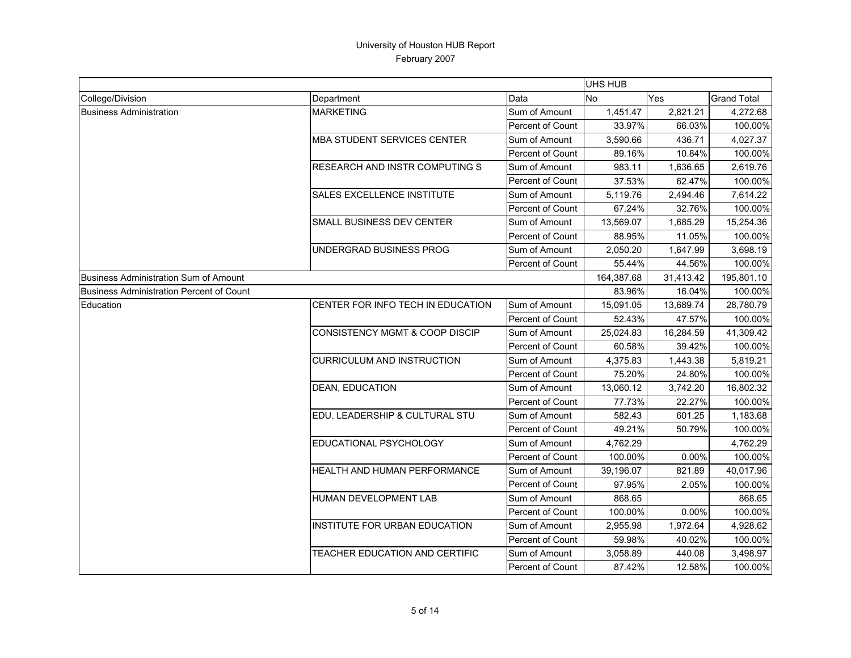|                                                 |                                           |                         | <b>UHS HUB</b> |           |                    |
|-------------------------------------------------|-------------------------------------------|-------------------------|----------------|-----------|--------------------|
| College/Division                                | Department                                | Data                    | No             | Yes       | <b>Grand Total</b> |
| <b>Business Administration</b>                  | <b>MARKETING</b>                          | Sum of Amount           | 1,451.47       | 2,821.21  | 4,272.68           |
|                                                 |                                           | <b>Percent of Count</b> | 33.97%         | 66.03%    | 100.00%            |
|                                                 | <b>MBA STUDENT SERVICES CENTER</b>        | Sum of Amount           | 3,590.66       | 436.71    | 4,027.37           |
|                                                 |                                           | Percent of Count        | 89.16%         | 10.84%    | 100.00%            |
|                                                 | RESEARCH AND INSTR COMPUTING S            | Sum of Amount           | 983.11         | 1,636.65  | 2,619.76           |
|                                                 |                                           | Percent of Count        | 37.53%         | 62.47%    | 100.00%            |
|                                                 | <b>SALES EXCELLENCE INSTITUTE</b>         | Sum of Amount           | 5,119.76       | 2,494.46  | 7,614.22           |
|                                                 |                                           | Percent of Count        | 67.24%         | 32.76%    | 100.00%            |
|                                                 | SMALL BUSINESS DEV CENTER                 | Sum of Amount           | 13,569.07      | 1,685.29  | 15,254.36          |
|                                                 |                                           | Percent of Count        | 88.95%         | 11.05%    | 100.00%            |
|                                                 | UNDERGRAD BUSINESS PROG                   | Sum of Amount           | 2,050.20       | 1,647.99  | 3,698.19           |
|                                                 |                                           | Percent of Count        | 55.44%         | 44.56%    | 100.00%            |
| <b>Business Administration Sum of Amount</b>    |                                           |                         | 164,387.68     | 31,413.42 | 195,801.10         |
| <b>Business Administration Percent of Count</b> |                                           |                         | 83.96%         | 16.04%    | 100.00%            |
| Education                                       | CENTER FOR INFO TECH IN EDUCATION         | Sum of Amount           | 15,091.05      | 13,689.74 | 28,780.79          |
|                                                 |                                           | Percent of Count        | 52.43%         | 47.57%    | 100.00%            |
|                                                 | <b>CONSISTENCY MGMT &amp; COOP DISCIP</b> | Sum of Amount           | 25,024.83      | 16,284.59 | 41,309.42          |
|                                                 |                                           | <b>Percent of Count</b> | 60.58%         | 39.42%    | 100.00%            |
|                                                 | <b>CURRICULUM AND INSTRUCTION</b>         | Sum of Amount           | 4,375.83       | 1,443.38  | 5,819.21           |
|                                                 |                                           | <b>Percent of Count</b> | 75.20%         | 24.80%    | 100.00%            |
|                                                 | <b>DEAN, EDUCATION</b>                    | Sum of Amount           | 13,060.12      | 3,742.20  | 16,802.32          |
|                                                 |                                           | <b>Percent of Count</b> | 77.73%         | 22.27%    | 100.00%            |
|                                                 | EDU. LEADERSHIP & CULTURAL STU            | Sum of Amount           | 582.43         | 601.25    | 1,183.68           |
|                                                 |                                           | Percent of Count        | 49.21%         | 50.79%    | 100.00%            |
|                                                 | EDUCATIONAL PSYCHOLOGY                    | Sum of Amount           | 4,762.29       |           | 4,762.29           |
|                                                 |                                           | <b>Percent of Count</b> | 100.00%        | 0.00%     | 100.00%            |
|                                                 | <b>HEALTH AND HUMAN PERFORMANCE</b>       | Sum of Amount           | 39,196.07      | 821.89    | 40,017.96          |
|                                                 |                                           | Percent of Count        | 97.95%         | 2.05%     | 100.00%            |
|                                                 | HUMAN DEVELOPMENT LAB                     | Sum of Amount           | 868.65         |           | 868.65             |
|                                                 |                                           | Percent of Count        | 100.00%        | 0.00%     | 100.00%            |
|                                                 | <b>INSTITUTE FOR URBAN EDUCATION</b>      | Sum of Amount           | 2,955.98       | 1,972.64  | 4,928.62           |
|                                                 |                                           | Percent of Count        | 59.98%         | 40.02%    | 100.00%            |
|                                                 | TEACHER EDUCATION AND CERTIFIC            | Sum of Amount           | 3,058.89       | 440.08    | 3,498.97           |
|                                                 |                                           | Percent of Count        | 87.42%         | 12.58%    | 100.00%            |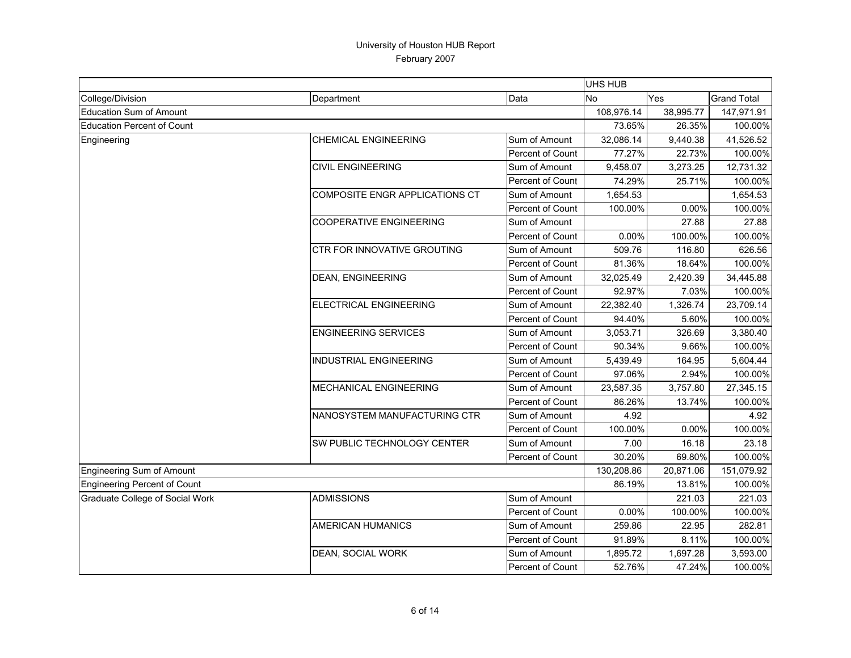|                                     |                                       |                         | <b>UHS HUB</b> |           |                    |
|-------------------------------------|---------------------------------------|-------------------------|----------------|-----------|--------------------|
| College/Division                    | Department                            | Data                    | No             | Yes       | <b>Grand Total</b> |
| <b>Education Sum of Amount</b>      |                                       |                         | 108,976.14     | 38,995.77 | 147,971.91         |
| <b>Education Percent of Count</b>   |                                       |                         | 73.65%         | 26.35%    | 100.00%            |
| Engineering                         | <b>CHEMICAL ENGINEERING</b>           | Sum of Amount           | 32,086.14      | 9,440.38  | 41,526.52          |
|                                     |                                       | Percent of Count        | 77.27%         | 22.73%    | 100.00%            |
|                                     | <b>CIVIL ENGINEERING</b>              | Sum of Amount           | 9,458.07       | 3,273.25  | 12,731.32          |
|                                     |                                       | Percent of Count        | 74.29%         | 25.71%    | 100.00%            |
|                                     | <b>COMPOSITE ENGR APPLICATIONS CT</b> | Sum of Amount           | 1,654.53       |           | 1,654.53           |
|                                     |                                       | Percent of Count        | 100.00%        | 0.00%     | 100.00%            |
|                                     | <b>COOPERATIVE ENGINEERING</b>        | Sum of Amount           |                | 27.88     | 27.88              |
|                                     |                                       | Percent of Count        | 0.00%          | 100.00%   | 100.00%            |
|                                     | CTR FOR INNOVATIVE GROUTING           | Sum of Amount           | 509.76         | 116.80    | 626.56             |
|                                     |                                       | Percent of Count        | 81.36%         | 18.64%    | 100.00%            |
|                                     | <b>DEAN, ENGINEERING</b>              | Sum of Amount           | 32,025.49      | 2,420.39  | 34,445.88          |
|                                     |                                       | Percent of Count        | 92.97%         | 7.03%     | 100.00%            |
|                                     | <b>ELECTRICAL ENGINEERING</b>         | Sum of Amount           | 22,382.40      | 1,326.74  | 23,709.14          |
|                                     |                                       | Percent of Count        | 94.40%         | 5.60%     | 100.00%            |
|                                     | <b>ENGINEERING SERVICES</b>           | Sum of Amount           | 3,053.71       | 326.69    | 3,380.40           |
|                                     |                                       | Percent of Count        | 90.34%         | 9.66%     | 100.00%            |
|                                     | <b>INDUSTRIAL ENGINEERING</b>         | Sum of Amount           | 5,439.49       | 164.95    | 5,604.44           |
|                                     |                                       | Percent of Count        | 97.06%         | 2.94%     | 100.00%            |
|                                     | <b>MECHANICAL ENGINEERING</b>         | Sum of Amount           | 23,587.35      | 3,757.80  | 27,345.15          |
|                                     |                                       | Percent of Count        | 86.26%         | 13.74%    | 100.00%            |
|                                     | NANOSYSTEM MANUFACTURING CTR          | Sum of Amount           | 4.92           |           | 4.92               |
|                                     |                                       | Percent of Count        | 100.00%        | 0.00%     | 100.00%            |
|                                     | SW PUBLIC TECHNOLOGY CENTER           | Sum of Amount           | 7.00           | 16.18     | 23.18              |
|                                     |                                       | Percent of Count        | 30.20%         | 69.80%    | 100.00%            |
| <b>Engineering Sum of Amount</b>    |                                       |                         | 130,208.86     | 20,871.06 | 151,079.92         |
| <b>Engineering Percent of Count</b> |                                       |                         | 86.19%         | 13.81%    | 100.00%            |
| Graduate College of Social Work     | <b>ADMISSIONS</b>                     | Sum of Amount           |                | 221.03    | 221.03             |
|                                     |                                       | Percent of Count        | 0.00%          | 100.00%   | 100.00%            |
|                                     | <b>AMERICAN HUMANICS</b>              | Sum of Amount           | 259.86         | 22.95     | 282.81             |
|                                     |                                       | Percent of Count        | 91.89%         | 8.11%     | 100.00%            |
|                                     | <b>DEAN, SOCIAL WORK</b>              | Sum of Amount           | 1,895.72       | 1,697.28  | 3,593.00           |
|                                     |                                       | <b>Percent of Count</b> | 52.76%         | 47.24%    | 100.00%            |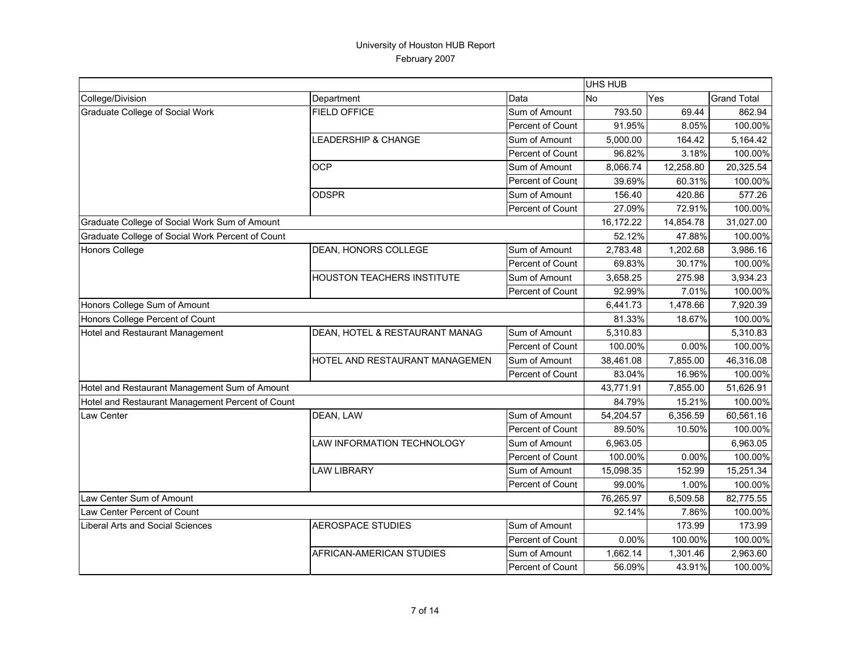|                                                  |                                   |                  | UHS HUB   |           |                    |
|--------------------------------------------------|-----------------------------------|------------------|-----------|-----------|--------------------|
| College/Division                                 | Department                        | Data             | No        | Yes       | <b>Grand Total</b> |
| Graduate College of Social Work                  | <b>FIELD OFFICE</b>               | Sum of Amount    | 793.50    | 69.44     | 862.94             |
|                                                  |                                   | Percent of Count | 91.95%    | 8.05%     | 100.00%            |
|                                                  | <b>LEADERSHIP &amp; CHANGE</b>    | Sum of Amount    | 5,000.00  | 164.42    | 5,164.42           |
|                                                  |                                   | Percent of Count | 96.82%    | 3.18%     | 100.00%            |
|                                                  | <b>OCP</b>                        | Sum of Amount    | 8,066.74  | 12,258.80 | 20,325.54          |
|                                                  |                                   | Percent of Count | 39.69%    | 60.31%    | 100.00%            |
|                                                  | <b>ODSPR</b>                      | Sum of Amount    | 156.40    | 420.86    | 577.26             |
|                                                  |                                   | Percent of Count | 27.09%    | 72.91%    | 100.00%            |
| Graduate College of Social Work Sum of Amount    |                                   |                  | 16,172.22 | 14,854.78 | 31,027.00          |
| Graduate College of Social Work Percent of Count |                                   |                  | 52.12%    | 47.88%    | 100.00%            |
| <b>Honors College</b>                            | <b>DEAN, HONORS COLLEGE</b>       | Sum of Amount    | 2,783.48  | 1,202.68  | 3,986.16           |
|                                                  |                                   | Percent of Count | 69.83%    | 30.17%    | 100.00%            |
|                                                  | <b>HOUSTON TEACHERS INSTITUTE</b> | Sum of Amount    | 3,658.25  | 275.98    | 3,934.23           |
|                                                  |                                   | Percent of Count | 92.99%    | 7.01%     | 100.00%            |
| Honors College Sum of Amount                     |                                   |                  | 6,441.73  | 1,478.66  | 7,920.39           |
| Honors College Percent of Count                  |                                   |                  | 81.33%    | 18.67%    | 100.00%            |
| Hotel and Restaurant Management                  | DEAN, HOTEL & RESTAURANT MANAG    | Sum of Amount    | 5,310.83  |           | 5,310.83           |
|                                                  |                                   | Percent of Count | 100.00%   | 0.00%     | 100.00%            |
|                                                  | HOTEL AND RESTAURANT MANAGEMEN    | Sum of Amount    | 38,461.08 | 7,855.00  | 46,316.08          |
|                                                  |                                   | Percent of Count | 83.04%    | 16.96%    | 100.00%            |
| Hotel and Restaurant Management Sum of Amount    |                                   |                  | 43,771.91 | 7,855.00  | 51,626.91          |
| Hotel and Restaurant Management Percent of Count |                                   |                  | 84.79%    | 15.21%    | 100.00%            |
| <b>Law Center</b>                                | DEAN, LAW                         | Sum of Amount    | 54,204.57 | 6,356.59  | 60,561.16          |
|                                                  |                                   | Percent of Count | 89.50%    | 10.50%    | 100.00%            |
|                                                  | LAW INFORMATION TECHNOLOGY        | Sum of Amount    | 6,963.05  |           | 6,963.05           |
|                                                  |                                   | Percent of Count | 100.00%   | 0.00%     | 100.00%            |
|                                                  | <b>LAW LIBRARY</b>                | Sum of Amount    | 15,098.35 | 152.99    | 15,251.34          |
|                                                  |                                   | Percent of Count | 99.00%    | 1.00%     | 100.00%            |
| Law Center Sum of Amount                         |                                   |                  | 76,265.97 | 6,509.58  | 82,775.55          |
| Law Center Percent of Count                      |                                   |                  | 92.14%    | 7.86%     | 100.00%            |
| Liberal Arts and Social Sciences                 | <b>AEROSPACE STUDIES</b>          | Sum of Amount    |           | 173.99    | 173.99             |
|                                                  |                                   | Percent of Count | 0.00%     | 100.00%   | 100.00%            |
|                                                  | AFRICAN-AMERICAN STUDIES          | Sum of Amount    | 1,662.14  | 1,301.46  | 2,963.60           |
|                                                  |                                   | Percent of Count | 56.09%    | 43.91%    | 100.00%            |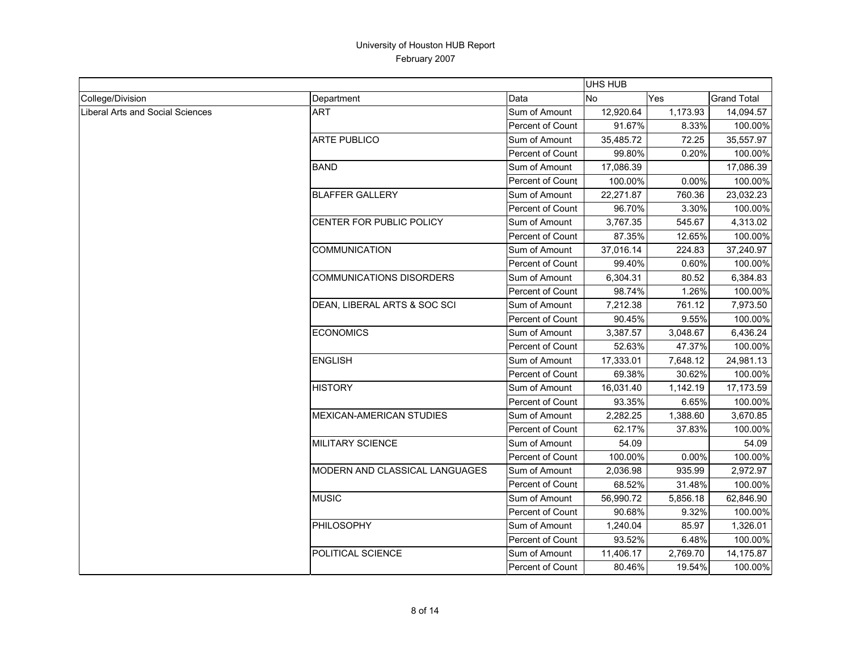|                                  |                                 |                         | UHS HUB   |          |                    |
|----------------------------------|---------------------------------|-------------------------|-----------|----------|--------------------|
| College/Division                 | Department                      | Data                    | No        | Yes      | <b>Grand Total</b> |
| Liberal Arts and Social Sciences | <b>ART</b>                      | Sum of Amount           | 12,920.64 | 1,173.93 | 14,094.57          |
|                                  |                                 | Percent of Count        | 91.67%    | 8.33%    | 100.00%            |
|                                  | <b>ARTE PUBLICO</b>             | Sum of Amount           | 35,485.72 | 72.25    | 35,557.97          |
|                                  |                                 | Percent of Count        | 99.80%    | 0.20%    | 100.00%            |
|                                  | <b>BAND</b>                     | Sum of Amount           | 17,086.39 |          | 17,086.39          |
|                                  |                                 | Percent of Count        | 100.00%   | 0.00%    | 100.00%            |
|                                  | <b>BLAFFER GALLERY</b>          | Sum of Amount           | 22,271.87 | 760.36   | 23,032.23          |
|                                  |                                 | Percent of Count        | 96.70%    | 3.30%    | 100.00%            |
|                                  | CENTER FOR PUBLIC POLICY        | Sum of Amount           | 3,767.35  | 545.67   | 4,313.02           |
|                                  |                                 | <b>Percent of Count</b> | 87.35%    | 12.65%   | 100.00%            |
|                                  | <b>COMMUNICATION</b>            | Sum of Amount           | 37,016.14 | 224.83   | 37,240.97          |
|                                  |                                 | Percent of Count        | 99.40%    | 0.60%    | 100.00%            |
|                                  | <b>COMMUNICATIONS DISORDERS</b> | Sum of Amount           | 6,304.31  | 80.52    | 6,384.83           |
|                                  |                                 | Percent of Count        | 98.74%    | 1.26%    | 100.00%            |
|                                  | DEAN, LIBERAL ARTS & SOC SCI    | Sum of Amount           | 7,212.38  | 761.12   | 7,973.50           |
|                                  |                                 | Percent of Count        | 90.45%    | 9.55%    | 100.00%            |
|                                  | <b>ECONOMICS</b>                | Sum of Amount           | 3,387.57  | 3,048.67 | 6,436.24           |
|                                  |                                 | Percent of Count        | 52.63%    | 47.37%   | 100.00%            |
|                                  | <b>ENGLISH</b>                  | Sum of Amount           | 17,333.01 | 7,648.12 | 24,981.13          |
|                                  |                                 | Percent of Count        | 69.38%    | 30.62%   | 100.00%            |
|                                  | <b>HISTORY</b>                  | Sum of Amount           | 16,031.40 | 1,142.19 | 17,173.59          |
|                                  |                                 | Percent of Count        | 93.35%    | 6.65%    | 100.00%            |
|                                  | <b>MEXICAN-AMERICAN STUDIES</b> | Sum of Amount           | 2,282.25  | 1,388.60 | 3,670.85           |
|                                  |                                 | Percent of Count        | 62.17%    | 37.83%   | 100.00%            |
|                                  | <b>MILITARY SCIENCE</b>         | Sum of Amount           | 54.09     |          | 54.09              |
|                                  |                                 | Percent of Count        | 100.00%   | 0.00%    | 100.00%            |
|                                  | MODERN AND CLASSICAL LANGUAGES  | Sum of Amount           | 2,036.98  | 935.99   | 2,972.97           |
|                                  |                                 | Percent of Count        | 68.52%    | 31.48%   | 100.00%            |
|                                  | <b>MUSIC</b>                    | Sum of Amount           | 56,990.72 | 5,856.18 | 62,846.90          |
|                                  |                                 | Percent of Count        | 90.68%    | 9.32%    | 100.00%            |
|                                  | PHILOSOPHY                      | Sum of Amount           | 1,240.04  | 85.97    | 1,326.01           |
|                                  |                                 | Percent of Count        | 93.52%    | 6.48%    | 100.00%            |
|                                  | POLITICAL SCIENCE               | Sum of Amount           | 11,406.17 | 2,769.70 | 14,175.87          |
|                                  |                                 | Percent of Count        | 80.46%    | 19.54%   | 100.00%            |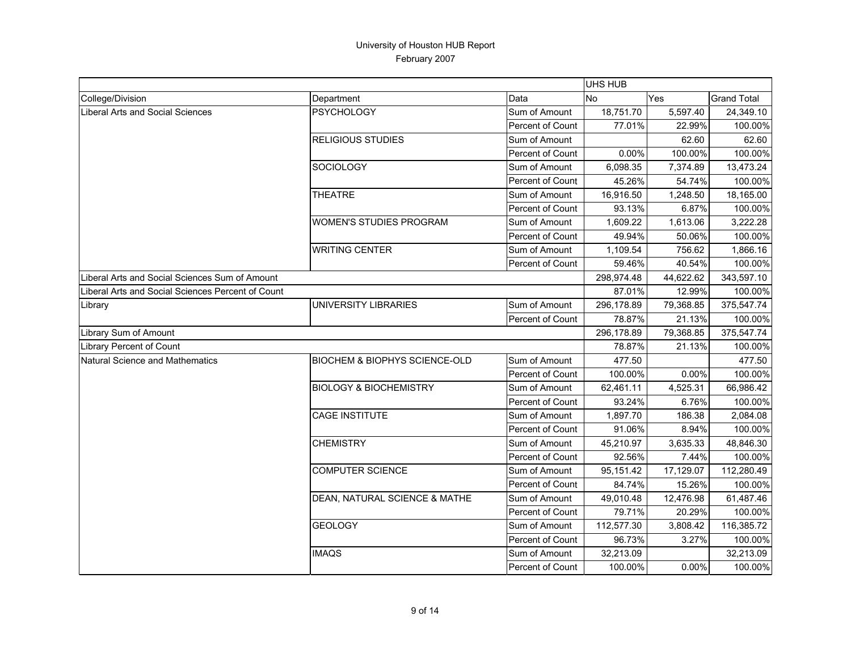|                                                   |                                          |                         | UHS HUB    |           |                    |
|---------------------------------------------------|------------------------------------------|-------------------------|------------|-----------|--------------------|
| College/Division                                  | Department                               | Data                    | No         | Yes       | <b>Grand Total</b> |
| <b>Liberal Arts and Social Sciences</b>           | <b>PSYCHOLOGY</b>                        | Sum of Amount           | 18,751.70  | 5,597.40  | 24,349.10          |
|                                                   |                                          | Percent of Count        | 77.01%     | 22.99%    | 100.00%            |
|                                                   | <b>RELIGIOUS STUDIES</b>                 | Sum of Amount           |            | 62.60     | 62.60              |
|                                                   |                                          | Percent of Count        | 0.00%      | 100.00%   | 100.00%            |
|                                                   | SOCIOLOGY                                | Sum of Amount           | 6,098.35   | 7,374.89  | 13,473.24          |
|                                                   |                                          | Percent of Count        | 45.26%     | 54.74%    | 100.00%            |
|                                                   | <b>THEATRE</b>                           | Sum of Amount           | 16,916.50  | 1,248.50  | 18,165.00          |
|                                                   |                                          | Percent of Count        | 93.13%     | 6.87%     | 100.00%            |
|                                                   | <b>WOMEN'S STUDIES PROGRAM</b>           | Sum of Amount           | 1,609.22   | 1,613.06  | 3,222.28           |
|                                                   |                                          | Percent of Count        | 49.94%     | 50.06%    | 100.00%            |
|                                                   | <b>WRITING CENTER</b>                    | Sum of Amount           | 1,109.54   | 756.62    | 1,866.16           |
|                                                   |                                          | Percent of Count        | 59.46%     | 40.54%    | 100.00%            |
| Liberal Arts and Social Sciences Sum of Amount    |                                          |                         | 298,974.48 | 44,622.62 | 343,597.10         |
| Liberal Arts and Social Sciences Percent of Count |                                          |                         | 87.01%     | 12.99%    | 100.00%            |
| Library                                           | UNIVERSITY LIBRARIES                     | Sum of Amount           | 296,178.89 | 79,368.85 | 375,547.74         |
|                                                   |                                          | Percent of Count        | 78.87%     | 21.13%    | 100.00%            |
| Library Sum of Amount                             |                                          |                         | 296,178.89 | 79,368.85 | 375,547.74         |
| Library Percent of Count                          |                                          |                         | 78.87%     | 21.13%    | 100.00%            |
| Natural Science and Mathematics                   | <b>BIOCHEM &amp; BIOPHYS SCIENCE-OLD</b> | Sum of Amount           | 477.50     |           | 477.50             |
|                                                   |                                          | Percent of Count        | 100.00%    | 0.00%     | 100.00%            |
|                                                   | <b>BIOLOGY &amp; BIOCHEMISTRY</b>        | Sum of Amount           | 62,461.11  | 4,525.31  | 66,986.42          |
|                                                   |                                          | <b>Percent of Count</b> | 93.24%     | 6.76%     | 100.00%            |
|                                                   | <b>CAGE INSTITUTE</b>                    | Sum of Amount           | 1,897.70   | 186.38    | 2,084.08           |
|                                                   |                                          | Percent of Count        | 91.06%     | 8.94%     | 100.00%            |
|                                                   | <b>CHEMISTRY</b>                         | Sum of Amount           | 45,210.97  | 3,635.33  | 48,846.30          |
|                                                   |                                          | Percent of Count        | 92.56%     | 7.44%     | 100.00%            |
|                                                   | <b>COMPUTER SCIENCE</b>                  | Sum of Amount           | 95,151.42  | 17,129.07 | 112,280.49         |
|                                                   |                                          | Percent of Count        | 84.74%     | 15.26%    | 100.00%            |
|                                                   | DEAN, NATURAL SCIENCE & MATHE            | Sum of Amount           | 49,010.48  | 12,476.98 | 61,487.46          |
|                                                   |                                          | Percent of Count        | 79.71%     | 20.29%    | 100.00%            |
|                                                   | <b>GEOLOGY</b>                           | Sum of Amount           | 112,577.30 | 3,808.42  | 116,385.72         |
|                                                   |                                          | Percent of Count        | 96.73%     | 3.27%     | 100.00%            |
|                                                   | <b>IMAQS</b>                             | Sum of Amount           | 32,213.09  |           | 32,213.09          |
|                                                   |                                          | Percent of Count        | 100.00%    | 0.00%     | 100.00%            |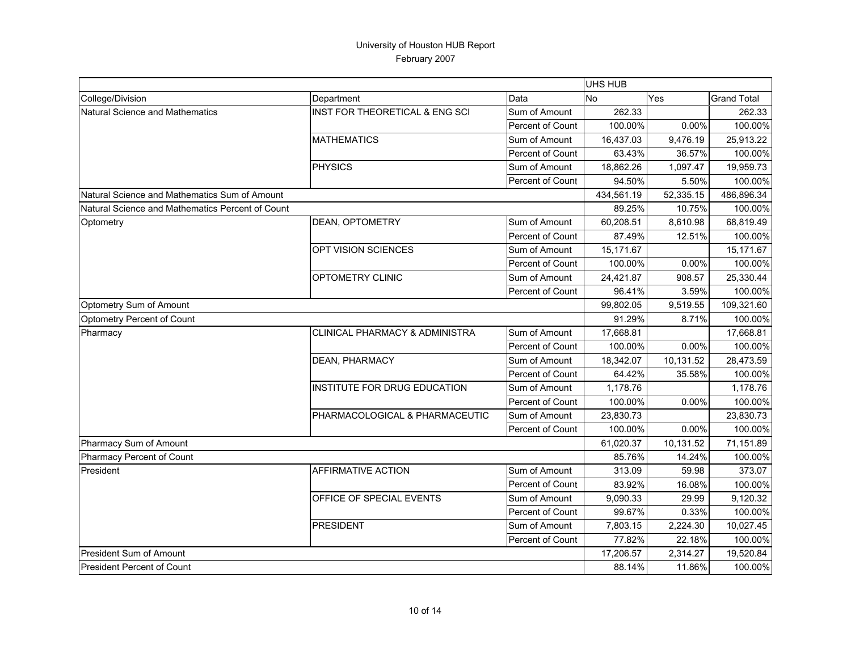|                                                  |                                |                  | <b>UHS HUB</b> |           |                    |
|--------------------------------------------------|--------------------------------|------------------|----------------|-----------|--------------------|
| College/Division                                 | Department                     | Data             | No             | Yes       | <b>Grand Total</b> |
| Natural Science and Mathematics                  | INST FOR THEORETICAL & ENG SCI | Sum of Amount    | 262.33         |           | 262.33             |
|                                                  |                                | Percent of Count | 100.00%        | 0.00%     | 100.00%            |
|                                                  | <b>MATHEMATICS</b>             | Sum of Amount    | 16,437.03      | 9,476.19  | 25,913.22          |
|                                                  |                                | Percent of Count | 63.43%         | 36.57%    | 100.00%            |
|                                                  | <b>PHYSICS</b>                 | Sum of Amount    | 18,862.26      | 1.097.47  | 19,959.73          |
|                                                  |                                | Percent of Count | 94.50%         | 5.50%     | 100.00%            |
| Natural Science and Mathematics Sum of Amount    |                                |                  | 434,561.19     | 52,335.15 | 486,896.34         |
| Natural Science and Mathematics Percent of Count |                                |                  | 89.25%         | 10.75%    | 100.00%            |
| Optometry                                        | DEAN, OPTOMETRY                | Sum of Amount    | 60,208.51      | 8,610.98  | 68,819.49          |
|                                                  |                                | Percent of Count | 87.49%         | 12.51%    | 100.00%            |
|                                                  | OPT VISION SCIENCES            | Sum of Amount    | 15,171.67      |           | 15,171.67          |
|                                                  |                                | Percent of Count | 100.00%        | 0.00%     | 100.00%            |
|                                                  | <b>OPTOMETRY CLINIC</b>        | Sum of Amount    | 24,421.87      | 908.57    | 25,330.44          |
|                                                  |                                | Percent of Count | 96.41%         | 3.59%     | 100.00%            |
| Optometry Sum of Amount                          |                                |                  | 99,802.05      | 9,519.55  | 109,321.60         |
| Optometry Percent of Count                       |                                |                  | 91.29%         | 8.71%     | 100.00%            |
| Pharmacy                                         | CLINICAL PHARMACY & ADMINISTRA | Sum of Amount    | 17,668.81      |           | 17,668.81          |
|                                                  |                                | Percent of Count | 100.00%        | 0.00%     | 100.00%            |
|                                                  | <b>DEAN, PHARMACY</b>          | Sum of Amount    | 18,342.07      | 10,131.52 | 28,473.59          |
|                                                  |                                | Percent of Count | 64.42%         | 35.58%    | 100.00%            |
|                                                  | INSTITUTE FOR DRUG EDUCATION   | Sum of Amount    | 1,178.76       |           | 1,178.76           |
|                                                  |                                | Percent of Count | 100.00%        | 0.00%     | 100.00%            |
|                                                  | PHARMACOLOGICAL & PHARMACEUTIC | Sum of Amount    | 23,830.73      |           | 23,830.73          |
|                                                  |                                | Percent of Count | 100.00%        | 0.00%     | 100.00%            |
| Pharmacy Sum of Amount                           |                                |                  | 61,020.37      | 10,131.52 | 71,151.89          |
| Pharmacy Percent of Count                        |                                |                  | 85.76%         | 14.24%    | 100.00%            |
| President                                        | <b>AFFIRMATIVE ACTION</b>      | Sum of Amount    | 313.09         | 59.98     | 373.07             |
|                                                  |                                | Percent of Count | 83.92%         | 16.08%    | 100.00%            |
|                                                  | OFFICE OF SPECIAL EVENTS       | Sum of Amount    | 9,090.33       | 29.99     | 9,120.32           |
|                                                  |                                | Percent of Count | 99.67%         | 0.33%     | 100.00%            |
|                                                  | <b>PRESIDENT</b>               | Sum of Amount    | 7,803.15       | 2,224.30  | 10,027.45          |
|                                                  |                                | Percent of Count | 77.82%         | 22.18%    | 100.00%            |
| President Sum of Amount                          |                                |                  | 17,206.57      | 2,314.27  | 19,520.84          |
| President Percent of Count                       |                                |                  | 88.14%         | 11.86%    | 100.00%            |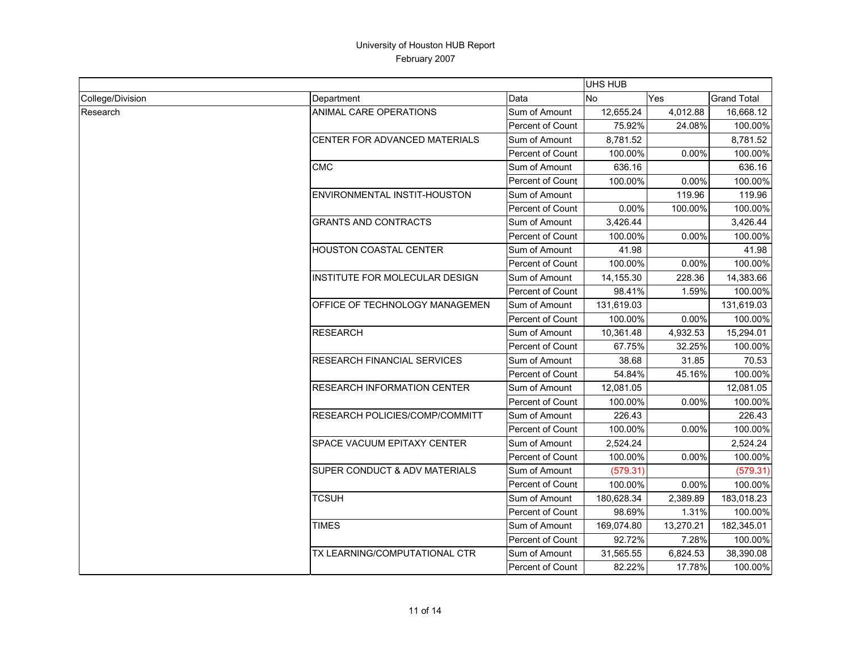|                  |                                       |                         | <b>UHS HUB</b> |           |                    |
|------------------|---------------------------------------|-------------------------|----------------|-----------|--------------------|
| College/Division | Department                            | Data                    | No             | Yes       | <b>Grand Total</b> |
| Research         | ANIMAL CARE OPERATIONS                | Sum of Amount           | 12,655.24      | 4,012.88  | 16,668.12          |
|                  |                                       | Percent of Count        | 75.92%         | 24.08%    | 100.00%            |
|                  | CENTER FOR ADVANCED MATERIALS         | Sum of Amount           | 8,781.52       |           | 8,781.52           |
|                  |                                       | Percent of Count        | 100.00%        | 0.00%     | 100.00%            |
|                  | <b>CMC</b>                            | Sum of Amount           | 636.16         |           | 636.16             |
|                  |                                       | Percent of Count        | 100.00%        | 0.00%     | 100.00%            |
|                  | ENVIRONMENTAL INSTIT-HOUSTON          | Sum of Amount           |                | 119.96    | 119.96             |
|                  |                                       | Percent of Count        | 0.00%          | 100.00%   | 100.00%            |
|                  | <b>GRANTS AND CONTRACTS</b>           | Sum of Amount           | 3,426.44       |           | 3,426.44           |
|                  |                                       | Percent of Count        | 100.00%        | 0.00%     | 100.00%            |
|                  | <b>HOUSTON COASTAL CENTER</b>         | Sum of Amount           | 41.98          |           | 41.98              |
|                  |                                       | <b>Percent of Count</b> | 100.00%        | 0.00%     | 100.00%            |
|                  | <b>INSTITUTE FOR MOLECULAR DESIGN</b> | Sum of Amount           | 14,155.30      | 228.36    | 14,383.66          |
|                  |                                       | Percent of Count        | 98.41%         | 1.59%     | 100.00%            |
|                  | OFFICE OF TECHNOLOGY MANAGEMEN        | Sum of Amount           | 131,619.03     |           | 131,619.03         |
|                  |                                       | <b>Percent of Count</b> | 100.00%        | 0.00%     | 100.00%            |
|                  | <b>RESEARCH</b>                       | Sum of Amount           | 10,361.48      | 4,932.53  | 15,294.01          |
|                  |                                       | Percent of Count        | 67.75%         | 32.25%    | 100.00%            |
|                  | <b>RESEARCH FINANCIAL SERVICES</b>    | Sum of Amount           | 38.68          | 31.85     | 70.53              |
|                  |                                       | <b>Percent of Count</b> | 54.84%         | 45.16%    | 100.00%            |
|                  | <b>RESEARCH INFORMATION CENTER</b>    | Sum of Amount           | 12,081.05      |           | 12,081.05          |
|                  |                                       | Percent of Count        | 100.00%        | 0.00%     | 100.00%            |
|                  | RESEARCH POLICIES/COMP/COMMITT        | Sum of Amount           | 226.43         |           | 226.43             |
|                  |                                       | <b>Percent of Count</b> | 100.00%        | 0.00%     | 100.00%            |
|                  | SPACE VACUUM EPITAXY CENTER           | Sum of Amount           | 2,524.24       |           | 2,524.24           |
|                  |                                       | Percent of Count        | 100.00%        | 0.00%     | 100.00%            |
|                  | SUPER CONDUCT & ADV MATERIALS         | Sum of Amount           | (579.31)       |           | (579.31)           |
|                  |                                       | <b>Percent of Count</b> | 100.00%        | 0.00%     | 100.00%            |
|                  | <b>TCSUH</b>                          | Sum of Amount           | 180,628.34     | 2,389.89  | 183,018.23         |
|                  |                                       | Percent of Count        | 98.69%         | 1.31%     | 100.00%            |
|                  | <b>TIMES</b>                          | Sum of Amount           | 169,074.80     | 13,270.21 | 182,345.01         |
|                  |                                       | Percent of Count        | 92.72%         | 7.28%     | 100.00%            |
|                  | TX LEARNING/COMPUTATIONAL CTR         | Sum of Amount           | 31,565.55      | 6,824.53  | 38,390.08          |
|                  |                                       | Percent of Count        | 82.22%         | 17.78%    | 100.00%            |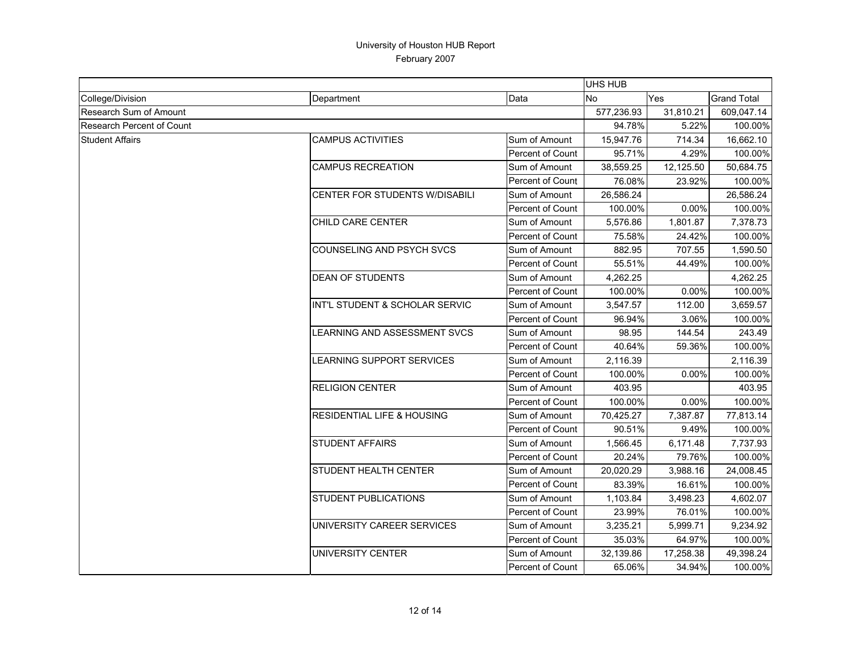|                               |                                       |                         | <b>UHS HUB</b> |           |                    |
|-------------------------------|---------------------------------------|-------------------------|----------------|-----------|--------------------|
| College/Division              | Department                            | Data                    | No             | Yes       | <b>Grand Total</b> |
| <b>Research Sum of Amount</b> |                                       |                         | 577,236.93     | 31,810.21 | 609,047.14         |
| Research Percent of Count     |                                       |                         | 94.78%         | 5.22%     | 100.00%            |
| <b>Student Affairs</b>        | <b>CAMPUS ACTIVITIES</b>              | Sum of Amount           | 15,947.76      | 714.34    | 16,662.10          |
|                               |                                       | Percent of Count        | 95.71%         | 4.29%     | 100.00%            |
|                               | <b>CAMPUS RECREATION</b>              | Sum of Amount           | 38,559.25      | 12,125.50 | 50,684.75          |
|                               |                                       | <b>Percent of Count</b> | 76.08%         | 23.92%    | 100.00%            |
|                               | <b>CENTER FOR STUDENTS W/DISABILI</b> | Sum of Amount           | 26,586.24      |           | 26,586.24          |
|                               |                                       | <b>Percent of Count</b> | 100.00%        | 0.00%     | 100.00%            |
|                               | CHILD CARE CENTER                     | Sum of Amount           | 5,576.86       | 1,801.87  | 7,378.73           |
|                               |                                       | <b>Percent of Count</b> | 75.58%         | 24.42%    | 100.00%            |
|                               | COUNSELING AND PSYCH SVCS             | Sum of Amount           | 882.95         | 707.55    | 1,590.50           |
|                               |                                       | <b>Percent of Count</b> | 55.51%         | 44.49%    | 100.00%            |
|                               | <b>DEAN OF STUDENTS</b>               | Sum of Amount           | 4,262.25       |           | 4,262.25           |
|                               |                                       | Percent of Count        | 100.00%        | 0.00%     | 100.00%            |
|                               | INT'L STUDENT & SCHOLAR SERVIC        | Sum of Amount           | 3,547.57       | 112.00    | 3,659.57           |
|                               |                                       | <b>Percent of Count</b> | 96.94%         | 3.06%     | 100.00%            |
|                               | LEARNING AND ASSESSMENT SVCS          | Sum of Amount           | 98.95          | 144.54    | 243.49             |
|                               |                                       | Percent of Count        | 40.64%         | 59.36%    | 100.00%            |
|                               | LEARNING SUPPORT SERVICES             | Sum of Amount           | 2,116.39       |           | 2,116.39           |
|                               |                                       | <b>Percent of Count</b> | 100.00%        | 0.00%     | 100.00%            |
|                               | <b>RELIGION CENTER</b>                | Sum of Amount           | 403.95         |           | 403.95             |
|                               |                                       | <b>Percent of Count</b> | 100.00%        | 0.00%     | 100.00%            |
|                               | <b>RESIDENTIAL LIFE &amp; HOUSING</b> | Sum of Amount           | 70,425.27      | 7,387.87  | 77,813.14          |
|                               |                                       | <b>Percent of Count</b> | 90.51%         | 9.49%     | 100.00%            |
|                               | <b>STUDENT AFFAIRS</b>                | Sum of Amount           | 1,566.45       | 6,171.48  | 7,737.93           |
|                               |                                       | <b>Percent of Count</b> | 20.24%         | 79.76%    | 100.00%            |
|                               | <b>STUDENT HEALTH CENTER</b>          | Sum of Amount           | 20,020.29      | 3,988.16  | 24,008.45          |
|                               |                                       | Percent of Count        | 83.39%         | 16.61%    | 100.00%            |
|                               | <b>STUDENT PUBLICATIONS</b>           | Sum of Amount           | 1,103.84       | 3,498.23  | 4,602.07           |
|                               |                                       | Percent of Count        | 23.99%         | 76.01%    | 100.00%            |
|                               | UNIVERSITY CAREER SERVICES            | Sum of Amount           | 3,235.21       | 5,999.71  | 9,234.92           |
|                               |                                       | Percent of Count        | 35.03%         | 64.97%    | 100.00%            |
|                               | UNIVERSITY CENTER                     | Sum of Amount           | 32,139.86      | 17,258.38 | 49,398.24          |
|                               |                                       | Percent of Count        | 65.06%         | 34.94%    | 100.00%            |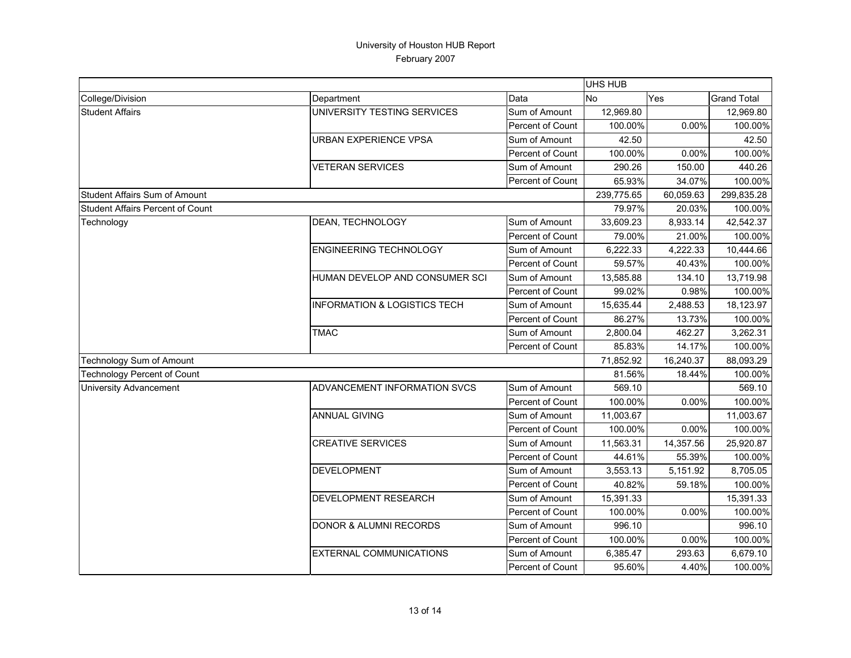|                                         |                                         |                  | <b>UHS HUB</b> |           |                    |
|-----------------------------------------|-----------------------------------------|------------------|----------------|-----------|--------------------|
| College/Division                        | Department                              | Data             | No             | Yes       | <b>Grand Total</b> |
| <b>Student Affairs</b>                  | UNIVERSITY TESTING SERVICES             | Sum of Amount    | 12,969.80      |           | 12,969.80          |
|                                         |                                         | Percent of Count | 100.00%        | 0.00%     | 100.00%            |
|                                         | <b>URBAN EXPERIENCE VPSA</b>            | Sum of Amount    | 42.50          |           | 42.50              |
|                                         |                                         | Percent of Count | 100.00%        | 0.00%     | 100.00%            |
|                                         | <b>VETERAN SERVICES</b>                 | Sum of Amount    | 290.26         | 150.00    | 440.26             |
|                                         |                                         | Percent of Count | 65.93%         | 34.07%    | 100.00%            |
| Student Affairs Sum of Amount           |                                         |                  | 239,775.65     | 60,059.63 | 299,835.28         |
| <b>Student Affairs Percent of Count</b> |                                         |                  | 79.97%         | 20.03%    | 100.00%            |
| Technology                              | DEAN, TECHNOLOGY                        | Sum of Amount    | 33,609.23      | 8,933.14  | 42,542.37          |
|                                         |                                         | Percent of Count | 79.00%         | 21.00%    | 100.00%            |
|                                         | <b>ENGINEERING TECHNOLOGY</b>           | Sum of Amount    | 6,222.33       | 4,222.33  | 10,444.66          |
|                                         |                                         | Percent of Count | 59.57%         | 40.43%    | 100.00%            |
|                                         | HUMAN DEVELOP AND CONSUMER SCI          | Sum of Amount    | 13,585.88      | 134.10    | 13,719.98          |
|                                         |                                         | Percent of Count | 99.02%         | 0.98%     | 100.00%            |
|                                         | <b>INFORMATION &amp; LOGISTICS TECH</b> | Sum of Amount    | 15,635.44      | 2,488.53  | 18,123.97          |
|                                         |                                         | Percent of Count | 86.27%         | 13.73%    | 100.00%            |
|                                         | <b>TMAC</b>                             | Sum of Amount    | 2,800.04       | 462.27    | 3,262.31           |
|                                         |                                         | Percent of Count | 85.83%         | 14.17%    | 100.00%            |
| Technology Sum of Amount                |                                         |                  | 71,852.92      | 16,240.37 | 88,093.29          |
| <b>Technology Percent of Count</b>      |                                         |                  | 81.56%         | 18.44%    | 100.00%            |
| <b>University Advancement</b>           | ADVANCEMENT INFORMATION SVCS            | Sum of Amount    | 569.10         |           | 569.10             |
|                                         |                                         | Percent of Count | 100.00%        | 0.00%     | 100.00%            |
|                                         | <b>ANNUAL GIVING</b>                    | Sum of Amount    | 11,003.67      |           | 11,003.67          |
|                                         |                                         | Percent of Count | 100.00%        | 0.00%     | 100.00%            |
|                                         | <b>CREATIVE SERVICES</b>                | Sum of Amount    | 11,563.31      | 14,357.56 | 25,920.87          |
|                                         |                                         | Percent of Count | 44.61%         | 55.39%    | 100.00%            |
|                                         | <b>DEVELOPMENT</b>                      | Sum of Amount    | 3,553.13       | 5,151.92  | 8,705.05           |
|                                         |                                         | Percent of Count | 40.82%         | 59.18%    | 100.00%            |
|                                         | DEVELOPMENT RESEARCH                    | Sum of Amount    | 15,391.33      |           | 15,391.33          |
|                                         |                                         | Percent of Count | 100.00%        | 0.00%     | 100.00%            |
|                                         | <b>DONOR &amp; ALUMNI RECORDS</b>       | Sum of Amount    | 996.10         |           | 996.10             |
|                                         |                                         | Percent of Count | 100.00%        | 0.00%     | 100.00%            |
|                                         | <b>EXTERNAL COMMUNICATIONS</b>          | Sum of Amount    | 6,385.47       | 293.63    | 6,679.10           |
|                                         |                                         | Percent of Count | 95.60%         | 4.40%     | 100.00%            |